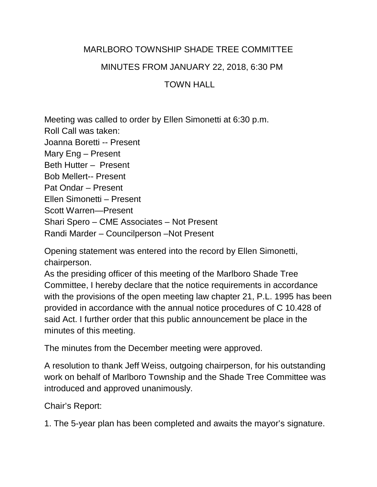## MARLBORO TOWNSHIP SHADE TREE COMMITTEE

MINUTES FROM JANUARY 22, 2018, 6:30 PM

## TOWN HALL

Meeting was called to order by Ellen Simonetti at 6:30 p.m. Roll Call was taken: Joanna Boretti -- Present Mary Eng – Present Beth Hutter – Present Bob Mellert-- Present Pat Ondar – Present Ellen Simonetti – Present Scott Warren—Present Shari Spero – CME Associates – Not Present Randi Marder – Councilperson –Not Present

Opening statement was entered into the record by Ellen Simonetti, chairperson.

As the presiding officer of this meeting of the Marlboro Shade Tree Committee, I hereby declare that the notice requirements in accordance with the provisions of the open meeting law chapter 21, P.L. 1995 has been provided in accordance with the annual notice procedures of C 10.428 of said Act. I further order that this public announcement be place in the minutes of this meeting.

The minutes from the December meeting were approved.

A resolution to thank Jeff Weiss, outgoing chairperson, for his outstanding work on behalf of Marlboro Township and the Shade Tree Committee was introduced and approved unanimously.

Chair's Report:

1. The 5-year plan has been completed and awaits the mayor's signature.